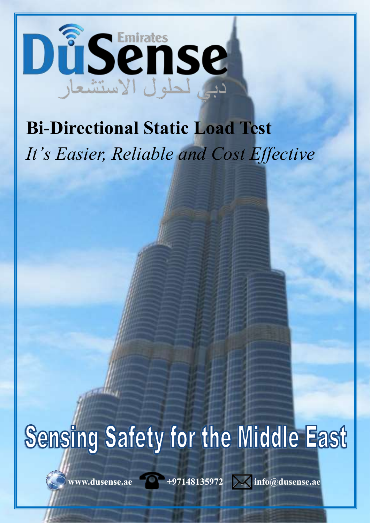

## **Bi-Directional Static Load Test**  *It's Easier, Reliable and Cost Effective*

## Sensing Safety for the Middle East

www.dusense.ae **197148135972** 2 info@dusense.ae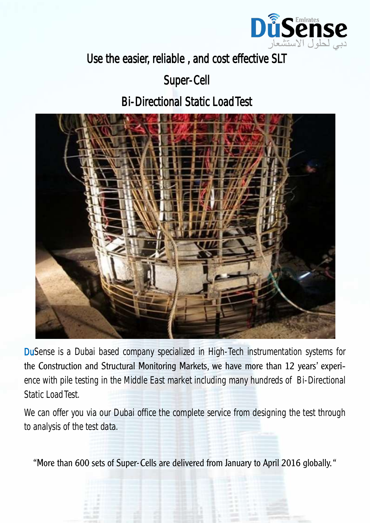

Use the easier, reliable , and cost effective SLT

Super-Cell

Bi-Directional Static Load Test



DuSense is a Dubai based company specialized in High-Tech instrumentation systems for the Construction and Structural Monitoring Markets, we have more than 12 years' experience with pile testing in the Middle East market including many hundreds of Bi-Directional Static Load Test.

We can offer you via our Dubai office the complete service from designing the test through to analysis of the test data.

"More than 600 sets of Super-Cells are delivered from January to April 2016 globally. "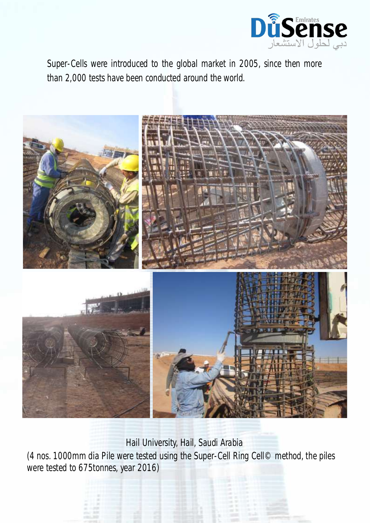

Super-Cells were introduced to the global market in 2005, since then more than 2,000 tests have been conducted around the world.



Hail University, Hail, Saudi Arabia

(4 nos. 1000mm dia Pile were tested using the Super-Cell Ring Cell© method, the piles were tested to 675tonnes, year 2016)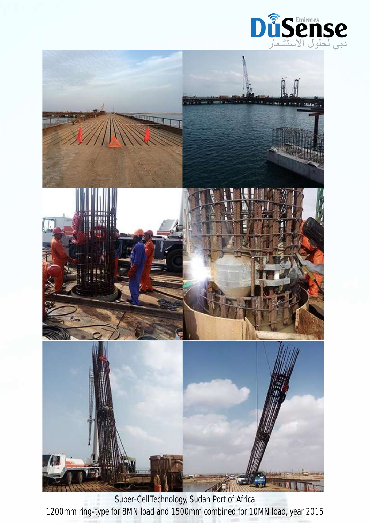



Super-Cell Technology, Sudan Port of Africa 1200mm ring-type for 8MN load and 1500mm combined for 10MN load, year 2015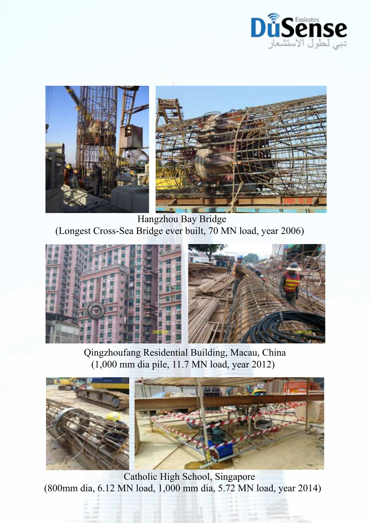



 Hangzhou Bay Bridge (Longest Cross-Sea Bridge ever built, 70 MN load, year 2006)



 Qingzhoufang Residential Building, Macau, China (1,000 mm dia pile, 11.7 MN load, year 2012)



 Catholic High School, Singapore (800mm dia, 6.12 MN load, 1,000 mm dia, 5.72 MN load, year 2014)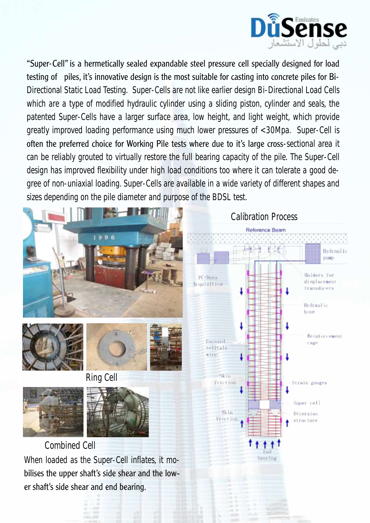

"Super-Cell" is a hermetically sealed expandable steel pressure cell specially designed for load testing of piles, it's innovative design is the most suitable for casting into concrete piles for Bi-Directional Static Load Testing. Super-Cells are not like earlier design Bi-Directional Load Cells which are a type of modified hydraulic cylinder using a sliding piston, cylinder and seals, the patented Super-Cells have a larger surface area, low height, and light weight, which provide greatly improved loading performance using much lower pressures of <30Mpa. Super-Cell is often the preferred choice for Working Pile tests where due to it's large cross-sectional area it can be reliably grouted to virtually restore the full bearing capacity of the pile. The Super-Cell design has improved flexibility under high load conditions too where it can tolerate a good degree of non-uniaxial loading. Super-Cells are available in a wide variety of different shapes and sizes depending on the pile diameter and purpose of the BDSL test.

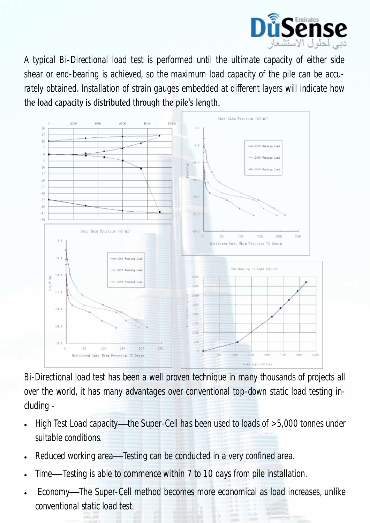

A typical Bi-Directional load test is performed until the ultimate capacity of either side shear or end-bearing is achieved, so the maximum load capacity of the pile can be accurately obtained. Installation of strain gauges embedded at different layers will indicate how the load capacity is distributed through the pile's length.



Bi-Directional load test has been a well proven technique in many thousands of projects all over the world, it has many advantages over conventional top-down static load testing including -

- High Test Load capacity—the Super-Cell has been used to loads of >5,000 tonnes under suitable conditions.
- Reduced working area—Testing can be conducted in a very confined area.
- Time—Testing is able to commence within 7 to 10 days from pile installation.
- Economy—The Super-Cell method becomes more economical as load increases, unlike conventional static load test.